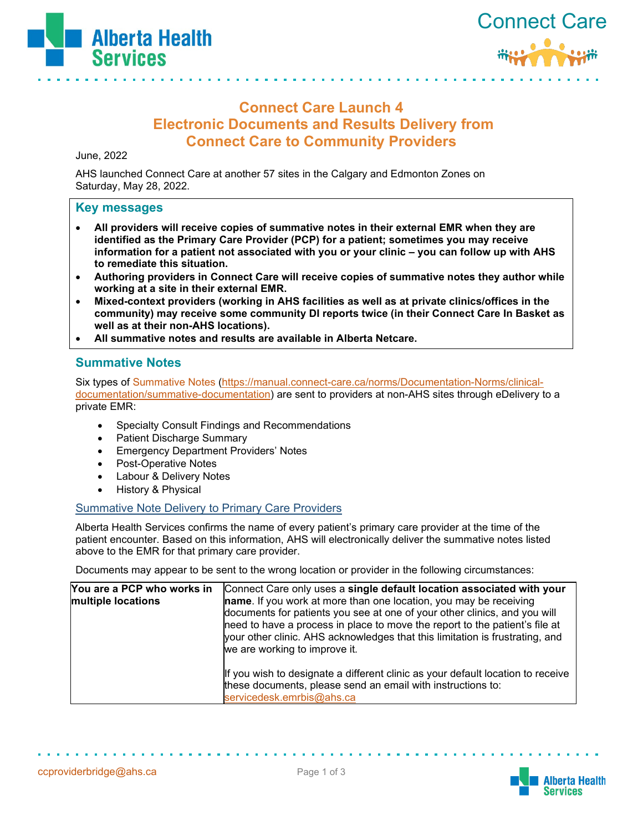



# **Connect Care Launch 4 Electronic Documents and Results Delivery from Connect Care to Community Providers**

June, 2022

AHS launched Connect Care at another 57 sites in the Calgary and Edmonton Zones on Saturday, May 28, 2022.

#### **Key messages**

- **All providers will receive copies of summative notes in their external EMR when they are identified as the Primary Care Provider (PCP) for a patient; sometimes you may receive information for a patient not associated with you or your clinic – you can follow up with AHS to remediate this situation.**
- **Authoring providers in Connect Care will receive copies of summative notes they author while working at a site in their external EMR.**
- **Mixed-context providers (working in AHS facilities as well as at private clinics/offices in the community) may receive some community DI reports twice (in their Connect Care In Basket as well as at their non-AHS locations).**
- **All summative notes and results are available in Alberta Netcare.**

### **Summative Notes**

Six types of [Summative Notes](https://manual.connect-care.ca/norms/Documentation-Norms/clinical-documentation/summative-documentation) [\(https://manual.connect-care.ca/norms/Documentation-Norms/clinical](https://manual.connect-care.ca/norms/Documentation-Norms/clinical-documentation/summative-documentation)[documentation/summative-documentation\)](https://manual.connect-care.ca/norms/Documentation-Norms/clinical-documentation/summative-documentation) are sent to providers at non-AHS sites through eDelivery to a private EMR:

- Specialty Consult Findings and Recommendations
- Patient Discharge Summary
- Emergency Department Providers' Notes
- Post-Operative Notes
- Labour & Delivery Notes
- History & Physical

#### Summative Note Delivery to Primary Care Providers

Alberta Health Services confirms the name of every patient's primary care provider at the time of the patient encounter. Based on this information, AHS will electronically deliver the summative notes listed above to the EMR for that primary care provider.

Documents may appear to be sent to the wrong location or provider in the following circumstances:

| You are a PCP who works in | Connect Care only uses a single default location associated with your                                                                                                                                                                                                                                                                                  |
|----------------------------|--------------------------------------------------------------------------------------------------------------------------------------------------------------------------------------------------------------------------------------------------------------------------------------------------------------------------------------------------------|
| multiple locations         | <b>name</b> . If you work at more than one location, you may be receiving<br>documents for patients you see at one of your other clinics, and you will<br>need to have a process in place to move the report to the patient's file at<br>your other clinic. AHS acknowledges that this limitation is frustrating, and<br>we are working to improve it. |
|                            | If you wish to designate a different clinic as your default location to receive<br>these documents, please send an email with instructions to:<br>servicedesk.emrbis@ahs.ca                                                                                                                                                                            |

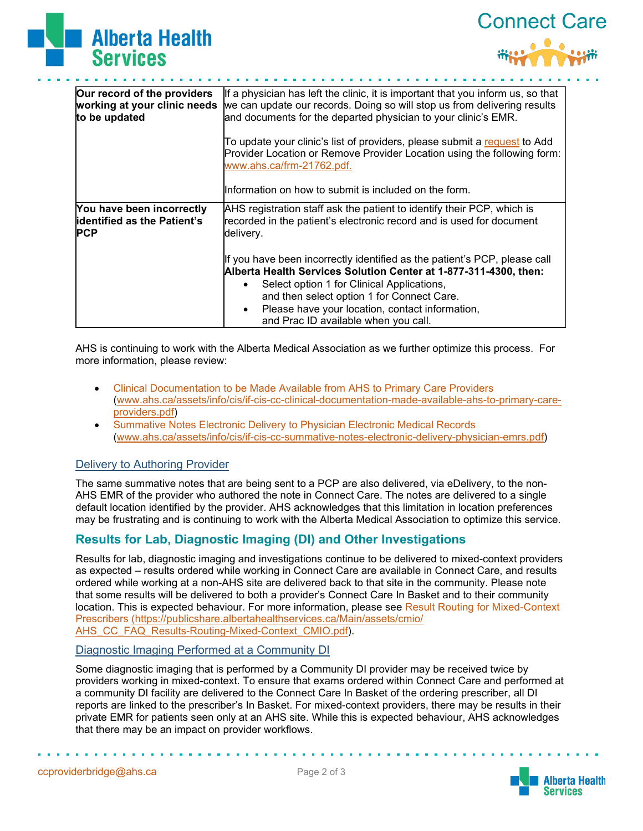



| Our record of the providers<br>working at your clinic needs<br>to be updated  | If a physician has left the clinic, it is important that you inform us, so that<br>we can update our records. Doing so will stop us from delivering results<br>and documents for the departed physician to your clinic's EMR. |
|-------------------------------------------------------------------------------|-------------------------------------------------------------------------------------------------------------------------------------------------------------------------------------------------------------------------------|
|                                                                               | To update your clinic's list of providers, please submit a request to Add<br>Provider Location or Remove Provider Location using the following form:<br>www.ahs.ca/frm-21762.pdf.                                             |
|                                                                               | llnformation on how to submit is included on the form.                                                                                                                                                                        |
| You have been incorrectly<br><b>identified as the Patient's</b><br><b>PCP</b> | AHS registration staff ask the patient to identify their PCP, which is<br>recorded in the patient's electronic record and is used for document<br>delivery.                                                                   |
|                                                                               | If you have been incorrectly identified as the patient's PCP, please call<br>Alberta Health Services Solution Center at 1-877-311-4300, then:                                                                                 |
|                                                                               | Select option 1 for Clinical Applications,                                                                                                                                                                                    |
|                                                                               | and then select option 1 for Connect Care.                                                                                                                                                                                    |
|                                                                               | Please have your location, contact information,                                                                                                                                                                               |
|                                                                               | and Prac ID available when you call.                                                                                                                                                                                          |

AHS is continuing to work with the Alberta Medical Association as we further optimize this process. For more information, please review:

- [Clinical Documentation to be Made Available from AHS to Primary Care Providers](https://www.albertahealthservices.ca/assets/info/cis/if-cis-cc-clinical-documentation-made-available-ahs-to-primary-care-providers.pdf) [\(www.ahs.ca/assets/info/cis/if-cis-cc-clinical-documentation-made-available-ahs-to-primary-care](http://www.ahs.ca/assets/info/cis/if-cis-cc-clinical-documentation-made-available-ahs-to-primary-care-providers.pdf)[providers.pdf\)](http://www.ahs.ca/assets/info/cis/if-cis-cc-clinical-documentation-made-available-ahs-to-primary-care-providers.pdf)
- [Summative Notes Electronic Delivery to Physician Electronic Medical Records](https://www.albertahealthservices.ca/assets/info/cis/if-cis-cc-summative-notes-electronic-delivery-physician-emrs.pdf) [\(www.ahs.ca/assets/info/cis/if-cis-cc-summative-notes-electronic-delivery-physician-emrs.pdf\)](https://www.albertahealthservices.ca/assets/info/cis/if-cis-cc-summative-notes-electronic-delivery-physician-emrs.pdf)

#### Delivery to Authoring Provider

The same summative notes that are being sent to a PCP are also delivered, via eDelivery, to the non-AHS EMR of the provider who authored the note in Connect Care. The notes are delivered to a single default location identified by the provider. AHS acknowledges that this limitation in location preferences may be frustrating and is continuing to work with the Alberta Medical Association to optimize this service.

# **Results for Lab, Diagnostic Imaging (DI) and Other Investigations**

Results for lab, diagnostic imaging and investigations continue to be delivered to mixed-context providers as expected – results ordered while working in Connect Care are available in Connect Care, and results ordered while working at a non-AHS site are delivered back to that site in the community. Please note that some results will be delivered to both a provider's Connect Care In Basket and to their community location. This is expected behaviour. For more information, please see Result Routing for Mixed-Context [Prescribers](https://publicshare.albertahealthservices.ca/Main/assets/cmio/AHS_CC_FAQ_Results-Routing-Mixed-Context_CMIO.pdf) [\(https://publicshare.albertahealthservices.ca/Main/assets/cmio/](https://publicshare.albertahealthservices.ca/Main/assets/cmio/AHS_CC_FAQ_Results-Routing-Mixed-Context_CMIO.pdf) [AHS\\_CC\\_FAQ\\_Results-Routing-Mixed-Context\\_CMIO.pdf\)](https://publicshare.albertahealthservices.ca/Main/assets/cmio/AHS_CC_FAQ_Results-Routing-Mixed-Context_CMIO.pdf).

#### Diagnostic Imaging Performed at a Community DI

Some diagnostic imaging that is performed by a Community DI provider may be received twice by providers working in mixed-context. To ensure that exams ordered within Connect Care and performed at a community DI facility are delivered to the Connect Care In Basket of the ordering prescriber, all DI reports are linked to the prescriber's In Basket. For mixed-context providers, there may be results in their private EMR for patients seen only at an AHS site. While this is expected behaviour, AHS acknowledges that there may be an impact on provider workflows.